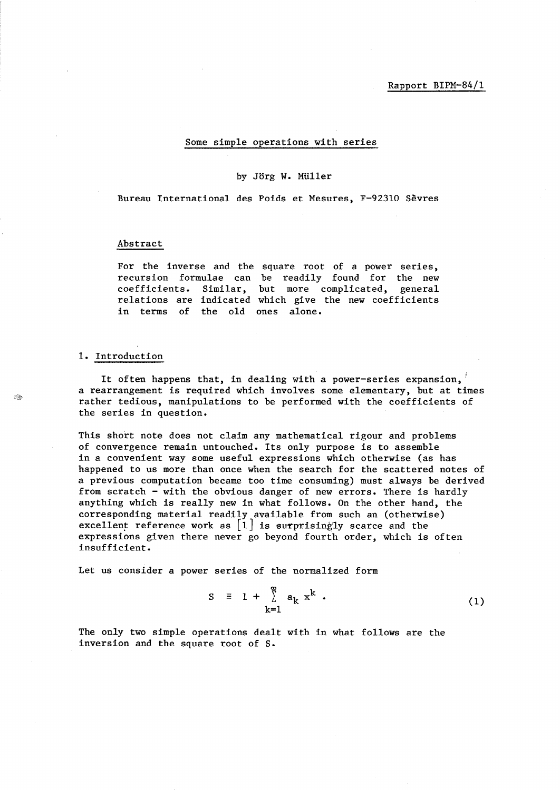Rapport BIPM-84/1

#### Some simple operations with series

#### by Jorg W. MUller

Bureau International des Poids et Mesures, F-92310 Sevres

### Abstract

For the inverse and the square root of a power series, recursion formulae can be readily found for the new coefficients. Similar, but more complicated, general relations are indicated which give the new coefficients in terms of the old ones alone.

### 1. Introduction

It often happens that, in dealing with a power-series expansion, *<sup>t</sup>* a rearrangement is required which involves some elementary, but at times rather tedious, manipulations to be performed with the coefficients of the series in question.

This short note does not claim any mathematical rigour and problems of convergence remain untouched. Its only purpose is to assemble in a convenient way some useful expressions which otherwise (as has happened to us more than once when the search for the scattered notes of a previous computation became too time consuming) must always be derived from scratch - with the obvious danger of new errors. There is hardly anything which is really new in what follows. On the other hand, the corresponding material readily available from such an (otherwise) excellent reference work as  $\begin{bmatrix} 1 \end{bmatrix}$  is surprisingly scarce and the expressions given there never go beyond fourth order, which is often insufficient.

Let us consider a power series of the normalized form

$$
S = 1 + \sum_{k=1}^{\infty} a_k x^k
$$
 (1)

The only two simple operations dealt with in what follows are the inversion and the square root of S.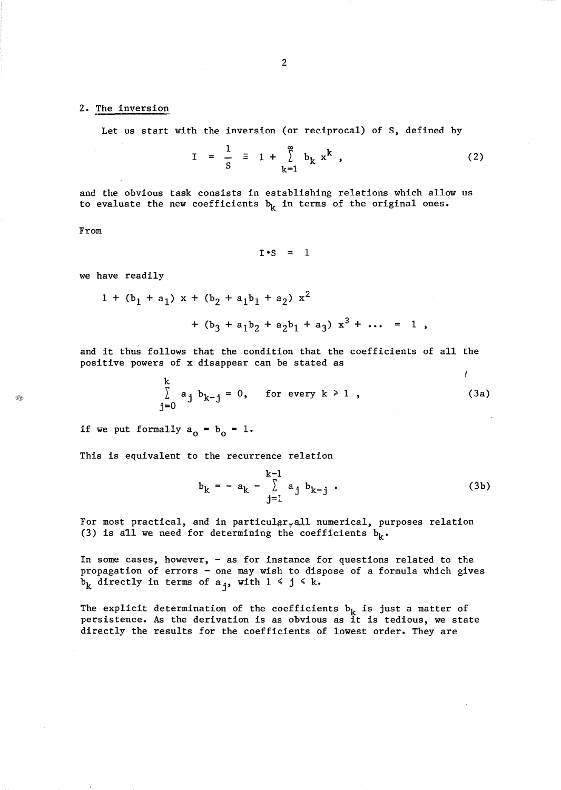### 2. The inversion

Let us start with the inversion (or reciprocal) of S, defined by

$$
I = \frac{1}{s} \equiv 1 + \sum_{k=1}^{\infty} b_k x^k , \qquad (2)
$$

and the obvious task consists in establishing relations which allow us to evaluate the new coefficients  $b_k$  in terms of the original ones.

From

 $I \cdot S = 1$ 

we have readily

$$
1 + (b_1 + a_1) x + (b_2 + a_1b_1 + a_2) x2
$$
  
+  $(b_3 + a_1b_2 + a_2b_1 + a_3) x3 + ... = 1$ ,

and it thus follows that the condition that the coefficients of all the positive powers of x disappear can be stated as

$$
\sum_{j=0}^{k} a_j b_{k-j} = 0, \quad \text{for every } k \ge 1 ,
$$
 (3a)

if we put formally  $a_0 = b_0 = 1$ .

This is equivalent to the recurrence relation

$$
b_k = - a_k - \sum_{j=1}^{k-1} a_j b_{k-j} .
$$
 (3b)

 $\lambda$ 

For most practical, and in particular<sub>w</sub>all numerical, purposes relation (3) is all we need for determining the coefficients  $b_k$ .

In some cases, however, - as for instance for questions related to the propagation of errors - one may wish to dispose of a formula which gives  $b_k$  directly in terms of  $a_j$ , with  $1 \le j \le k$ .

The explicit determination of the coefficients  $b_k$  is just a matter of persistence. As the derivation is as obvious as it is tedious, we state directly the results for the coefficients of lowest order. They are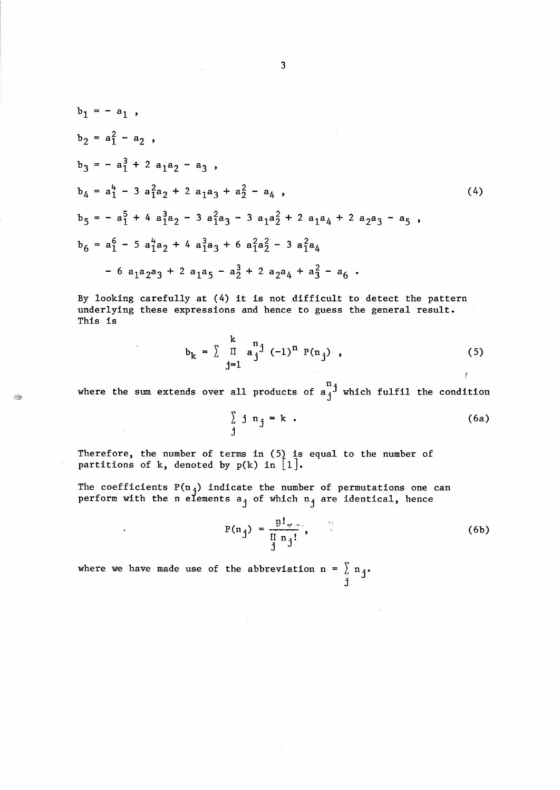$$
b_1 = -a_1,
$$
  
\n
$$
b_2 = a_1^2 - a_2,
$$
  
\n
$$
b_3 = -a_1^3 + 2a_1a_2 - a_3,
$$
  
\n
$$
b_4 = a_1^4 - 3a_1^2a_2 + 2a_1a_3 + a_2^2 - a_4,
$$
  
\n
$$
b_5 = -a_1^5 + 4a_1^3a_2 - 3a_1^2a_3 - 3a_1a_2^2 + 2a_1a_4 + 2a_2a_3 - a_5,
$$
  
\n
$$
b_6 = a_1^6 - 5a_1^4a_2 + 4a_1^3a_3 + 6a_1^2a_2^2 - 3a_1^2a_4
$$
  
\n
$$
-6a_1a_2a_3 + 2a_1a_5 - a_2^3 + 2a_2a_4 + a_3^2 - a_6.
$$
  
\n(4)

By looking carefully at (4) it is not difficult to detect the pattern underlying these expressions and hence to guess the general result. This is

$$
b_{k} = \sum_{j=1}^{k} \prod_{j=1}^{n} a_{j}^{j} (-1)^{n} P(n_{j}), \qquad (5)
$$

where the sum extends over all products of  $\mathbf{a}_i$ <sup>j</sup> which fulfil the condition

 $\sum j n_j = k$ . j (6a)

Therefore, the number of terms in (5) is equal to the number of partitions of k, denoted by  $p(k)$  in  $[1]$ .

The coefficients  $P(n_i)$  indicate the number of permutations one can perform with the n elements  $a_j$  of which  $n_j$  are identical, hence

$$
P(n_j) = \frac{p!}{\prod\limits_{j=1}^{n} n_j!},
$$
 (6b)

where we have made use of the abbreviation  $n = \int_{i}^{n} n_{j}$ .

 $\ddot{\phantom{a}}$ 

 $\circledcirc$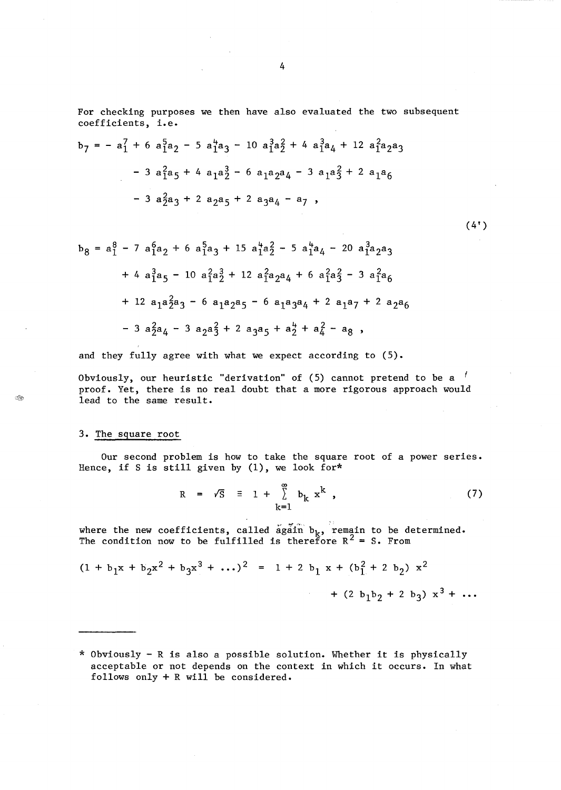For checking purposes we then have also evaluated the two subsequent coefficients, i.e.

$$
b_7 = -a_1^7 + 6 a_1^5 a_2 - 5 a_1^4 a_3 - 10 a_1^3 a_2^2 + 4 a_1^3 a_4 + 12 a_1^2 a_2 a_3 - 3 a_1^2 a_5 + 4 a_1 a_2^3 - 6 a_1 a_2 a_4 - 3 a_1 a_3^2 + 2 a_1 a_6 - 3 a_2^2 a_3 + 2 a_2 a_5 + 2 a_3 a_4 - a_7,
$$

$$
b_8 = a_1^8 - 7 \t a_{1a_2}^6 + 6 \t a_{1a_3}^5 + 15 \t a_{1a_2}^4 - 5 \t a_{1a_4}^4 - 20 \t a_{1a_2a_3}^3
$$

$$
+ 4 \t a_{1a_5}^3 - 10 \t a_{1a_2}^2 + 12 \t a_{1a_2a_4}^2 + 6 \t a_{1a_3}^2 - 3 \t a_{1a_6}^2
$$

$$
+ 12 \t a_{1a_2a_3}^2 - 6 \t a_{1a_2a_5}^2 - 6 \t a_{1a_3a_4}^2 + 2 \t a_{1a_7}^2 + 2 \t a_{2a_6}
$$

$$
- 3 \t a_{2a_4}^2 - 3 \t a_{2a_3}^2 + 2 \t a_{3a_5}^2 + a_{2a_4}^4 - a_{8} ,
$$

and they fully agree with what we expect according to (5).

Obviously, our heuristic "derivation" of  $(5)$  cannot pretend to be a  $\ell$ proof. Yet, there is no real doubt that a more rigorous approach would lead to the same result.

### 3. The square root

Î.

Our second problem is how to take the square root of a power series. Hence, if S is still given by (1), we look for\*

$$
R = \sqrt{S} \equiv 1 + \sum_{k=1}^{\infty} b_k x^k , \qquad (7)
$$

where the new coefficients, called  $\tilde{a}g\tilde{a}$ in  $b_k$ , remain to be determined. The condition now to be fulfilled is therefore  $R^2 = S$ . From

$$
(1 + b_1x + b_2x^2 + b_3x^3 + \dots)^2 = 1 + 2 b_1 x + (b_1^2 + 2 b_2) x^2 + (2 b_1b_2 + 2 b_3) x^3 + \dots
$$

\* Obviously - R is also a possible solution. Whether it is physically acceptable or not depends on the context in which it occurs. In what follows only + R will be considered.

 $(4')$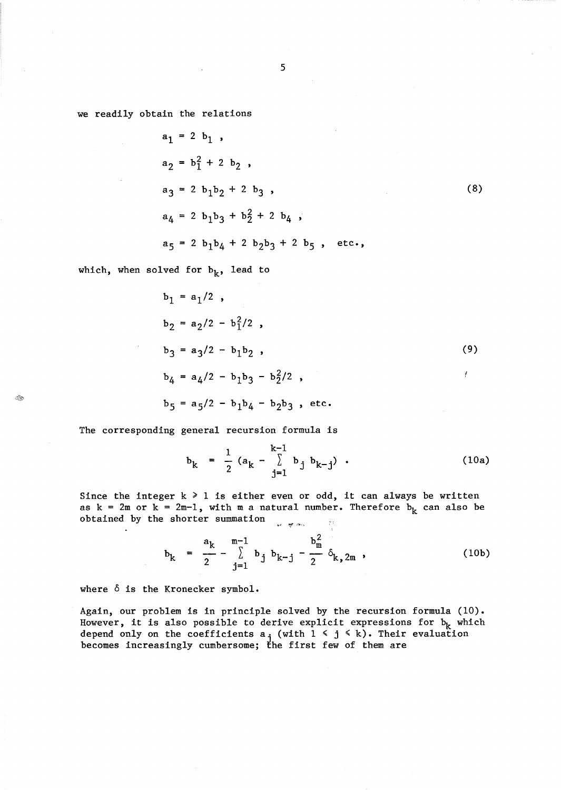we readily obtain the relations

$$
a_1 = 2 b_1,
$$
  
\n
$$
a_2 = b_1^2 + 2 b_2,
$$
  
\n
$$
a_3 = 2 b_1 b_2 + 2 b_3,
$$
  
\n
$$
a_4 = 2 b_1 b_3 + b_2^2 + 2 b_4,
$$
  
\n
$$
a_5 = 2 b_1 b_4 + 2 b_2 b_3 + 2 b_5,
$$
 etc.,

which, when solved for  $b_k$ , lead to

 $\mathbb{Z}_2$ 

$$
b_1 = a_1/2
$$
,  
\n
$$
b_2 = a_2/2 - b_1^2/2
$$
,  
\n
$$
b_3 = a_3/2 - b_1b_2
$$
,  
\n
$$
b_4 = a_4/2 - b_1b_3 - b_2^2/2
$$
,  
\n
$$
b_5 = a_5/2 - b_1b_4 - b_2b_3
$$
, etc.

The corresponding general recursion formula is

$$
b_k = \frac{1}{2} (a_k - \sum_{j=1}^{k-1} b_j b_{k-j})
$$
 (10a)

Since the integer  $k \geq 1$  is either even or odd, it can always be written as  $k = 2m$  or  $k = 2m-1$ , with m a natural number. Therefore  $b_k$  can also be obtained by the shorter summation ~,1 **"1,"** ,"11.,  $\label{eq:3.1} \frac{1}{2} \int_{-\infty}^{\infty} \frac{1}{2} \, \mathrm{d} x \, \mathrm{d} x \, \mathrm{d} x \, \mathrm{d} x \, \mathrm{d} x \, \mathrm{d} x \, \mathrm{d} x \, \mathrm{d} x \, \mathrm{d} x \, \mathrm{d} x \, \mathrm{d} x \, \mathrm{d} x \, \mathrm{d} x \, \mathrm{d} x \, \mathrm{d} x \, \mathrm{d} x \, \mathrm{d} x \, \mathrm{d} x \, \mathrm{d} x \, \mathrm{d} x \, \mathrm{d} x \, \mathrm{d} x \, \mathrm{d} x \$ 

$$
b_{k} = \frac{a_{k}}{2} - \sum_{j=1}^{m-1} b_{j} b_{k-j} - \frac{b_{m}^{2}}{2} \delta_{k,2m} , \qquad (10b)
$$

where 6 is the Kronecker symbol.

 $\sim$ 

Again, our problem is in principle solved by the recursion formula (10). However, it is also possible to derive explicit expressions for  $b_k$  which depend only on the coefficients  $a_j$  (with  $1 \le j \le k$ ). Their evaluation becomes increasingly cumbersome; the first few of them are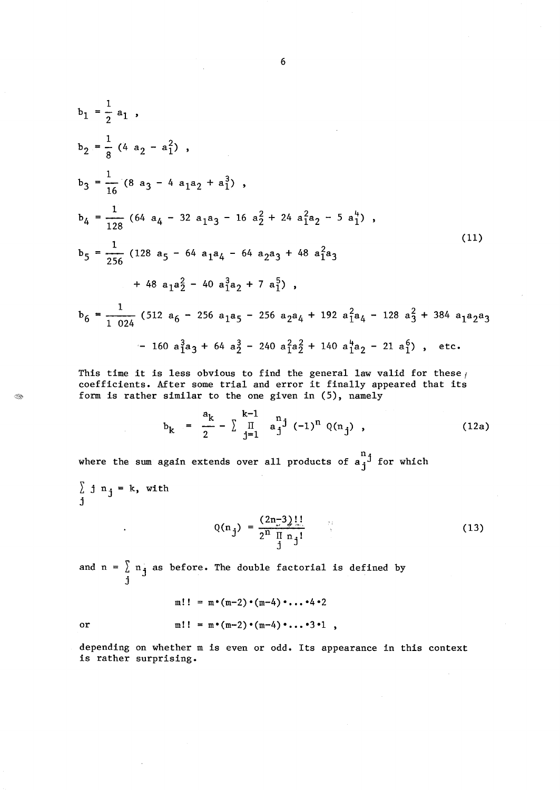$$
b_1 = \frac{1}{2} a_1,
$$
  
\n
$$
b_2 = \frac{1}{8} (4 a_2 - a_1^2),
$$
  
\n
$$
b_3 = \frac{1}{16} (8 a_3 - 4 a_1 a_2 + a_1^3),
$$
  
\n
$$
b_4 = \frac{1}{128} (64 a_4 - 32 a_1 a_3 - 16 a_2^2 + 24 a_1^2 a_2 - 5 a_1^4),
$$
  
\n
$$
b_5 = \frac{1}{256} (128 a_5 - 64 a_1 a_4 - 64 a_2 a_3 + 48 a_1^2 a_3 + 48 a_1 a_2^2 - 40 a_1^3 a_2 + 7 a_1^5),
$$
  
\n
$$
b_6 = \frac{1}{1024} (512 a_6 - 256 a_1 a_5 - 256 a_2 a_4 + 192 a_1^2 a_4 - 128 a_3^2 + 384 a_1 a_2 a_3 - 160 a_1^3 a_3 + 64 a_2^3 - 240 a_1^2 a_2^2 + 140 a_1^4 a_2 - 21 a_1^6),
$$
 etc.

This time it is less obvious to find the general law valid for these  $f$ coefficients. After some trial and error it finally appeared that its form is rather similar to the one given in (S), namely

$$
b_k = \frac{a_k}{2} - \sum_{j=1}^{k-1} a_j^{n} (-1)^n Q(n_j) , \qquad (12a)
$$

where the sum again extends over all products of  $a_j^{\bar n j}$  for which

 $\sum j n_j = k$ , with j

 $\hat{\textbf{z}}$ 

$$
Q(n_j) = \frac{(2n-3)!!}{2^n \prod_{j=1}^{n} n_j!}
$$
 (13)

and  $n = \sum n_j$  as before. The double factorial is defined by j

$$
m!! = m \cdot (m-2) \cdot (m-4) \cdot \ldots \cdot 4 \cdot 2
$$
  
or  

$$
m!! = m \cdot (m-2) \cdot (m-4) \cdot \ldots \cdot 3 \cdot 1 ,
$$

depending on whether m is even or odd. Its appearance in this context is rather surprising.

6

E.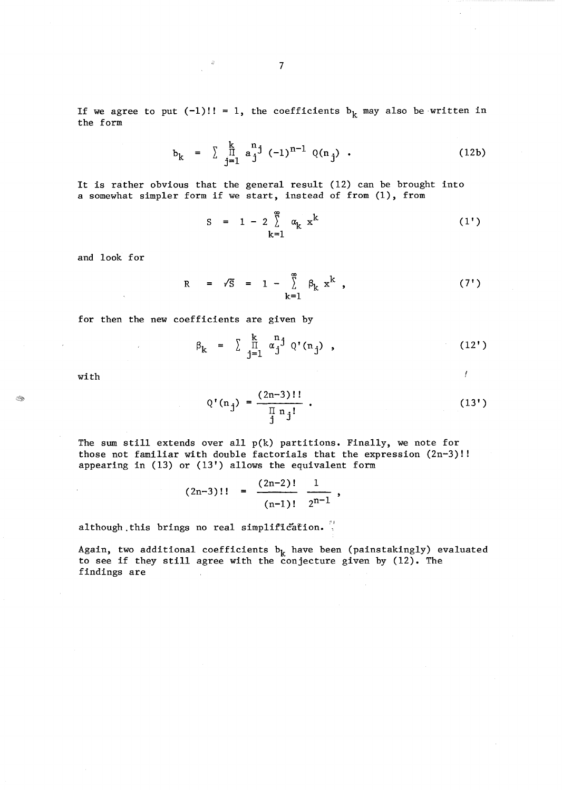If we agree to put  $(-1)!! = 1$ , the coefficients  $b_k$  may also be written in the form

$$
b_k = \sum_{j=1}^{k} a_j^{n} (1)^{n-1} Q(n_j) .
$$
 (12b)

It is rather obvious that the general result (12) can be brought into a somewhat simpler form if we start, instead of from (1), from

$$
s = 1 - 2 \sum_{k=1}^{\infty} \alpha_k x^k
$$
 (1')

and look for

$$
R = \sqrt{S} = 1 - \sum_{k=1}^{\infty} \beta_k x^k , \qquad (7')
$$

for then the new coefficients are given by

$$
\beta_k = \sum_{j=1}^k \prod_{j=1}^{n} \alpha_j^{n} Q^{\dagger}(n_j) , \qquad (12')
$$

with

$$
Q'(n_j) = \frac{(2n-3)!!}{\prod_{j=1}^{n} n_j!} \tag{13'}
$$

Ĭ

The sum still extends over all  $p(k)$  partitions. Finally, we note for those not familiar with double factorials that the expression (2n-3)!! appearing in (13) or (13') allows the equivalent form

$$
(2n-3)!! = \frac{(2n-2)!}{(n-1)!} \frac{1}{2^{n-1}},
$$

although this brings no real simplification.

Again, two additional coefficients  $b_k$  have been (painstakingly) evaluated to see if they still agree with the conjecture given by (12). The findings are

 $\mathcal{L}_\mathcal{D}$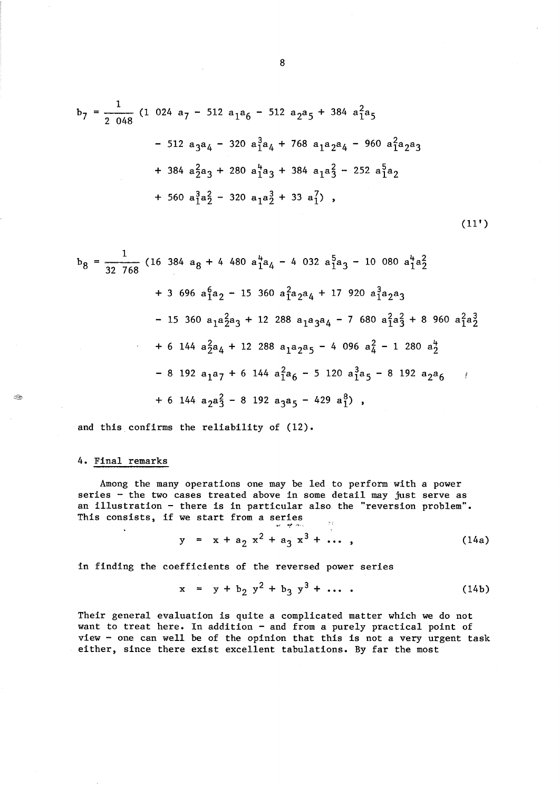$$
b_7 = \frac{1}{2 \ 048} (1 \ 024 \ a_7 - 512 \ a_1a_6 - 512 \ a_2a_5 + 384 \ a_1^2a_5
$$
  
- 512 \ a\_3a\_4 - 320 \ a\_1^3a\_4 + 768 \ a\_1a\_2a\_4 - 960 \ a\_1^2a\_2a\_3  
+ 384 \ a\_2^2a\_3 + 280 \ a\_1^4a\_3 + 384 \ a\_1a\_3^2 - 252 \ a\_1^5a\_2  
+ 560 \ a\_1^3a\_2^2 - 320 \ a\_1a\_2^3 + 33 \ a\_1^7),

$$
b_8 = \frac{1}{32 \cdot 768} (16 \cdot 384 \cdot a_8 + 4 \cdot 480 \cdot a_1^4 a_4 - 4 \cdot 032 \cdot a_1^5 a_3 - 10 \cdot 080 \cdot a_1^4 a_2^2
$$
  
+ 3 \cdot 696 \cdot a\_1^6 a\_2 - 15 \cdot 360 \cdot a\_1^2 a\_2 a\_4 + 17 \cdot 920 \cdot a\_1^3 a\_2 a\_3  
- 15 \cdot 360 \cdot a\_1 a\_2^2 a\_3 + 12 \cdot 288 \cdot a\_1 a\_3 a\_4 - 7 \cdot 680 \cdot a\_1^2 a\_3^2 + 8 \cdot 960 \cdot a\_1^2 a\_2^3  
+ 6 \cdot 144 \cdot a\_2^2 a\_4 + 12 \cdot 288 \cdot a\_1 a\_2 a\_5 - 4 \cdot 096 \cdot a\_4^2 - 1 \cdot 280 \cdot a\_2^4  
- 8 \cdot 192 \cdot a\_1 a\_7 + 6 \cdot 144 \cdot a\_1^2 a\_6 - 5 \cdot 120 \cdot a\_1^3 a\_5 - 8 \cdot 192 \cdot a\_2 a\_6  
+ 6 \cdot 144 \cdot a\_2 a\_3^2 - 8 \cdot 192 \cdot a\_3 a\_5 - 429 \cdot a\_1^8) ,

and this confirms the reliability of (12).

# 4. Final remarks

**AR** 

Among the many operations one may be led to perform with a power series - the two cases treated above in some detail may just serve as an illustration - there is in particular also the "reversion problem". This consists, if we start from a series<br>  $y = x + a_2 x^2 + a_3 x^3 + ...$ 

(14a)

 $(11')$ 

in finding the coefficients of the reversed power series

$$
x = y + b_2 y^2 + b_3 y^3 + \dots
$$
 (14b)

Their general evaluation is quite a complicated matter which we do not want to treat here. In addition - and from a purely practical point of view - one can well be of the opinion that this is not a very urgent task either, since there exist excellent tabulations. By far the most

8